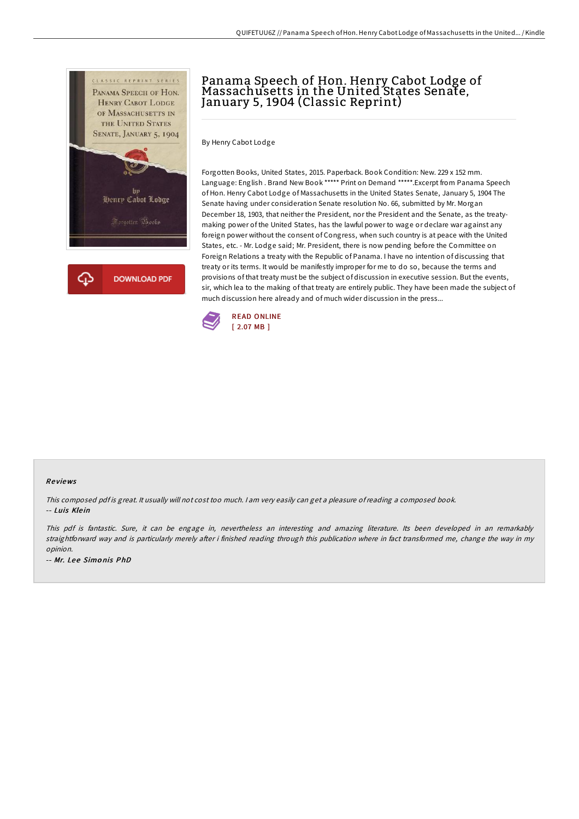

## Panama Speech of Hon. Henry Cabot Lodge of Massachusetts in the United States Senate, January 5, 1904 (Classic Reprint)

By Henry Cabot Lodge

Forgotten Books, United States, 2015. Paperback. Book Condition: New. 229 x 152 mm. Language: English . Brand New Book \*\*\*\*\* Print on Demand \*\*\*\*\*.Excerpt from Panama Speech of Hon. Henry Cabot Lodge of Massachusetts in the United States Senate, January 5, 1904 The Senate having under consideration Senate resolution No. 66, submitted by Mr. Morgan December 18, 1903, that neither the President, nor the President and the Senate, as the treatymaking power of the United States, has the lawful power to wage or declare war against any foreign power without the consent of Congress, when such country is at peace with the United States, etc. - Mr. Lodge said; Mr. President, there is now pending before the Committee on Foreign Relations a treaty with the Republic of Panama. I have no intention of discussing that treaty or its terms. It would be manifestly improper for me to do so, because the terms and provisions of that treaty must be the subject of discussion in executive session. But the events, sir, which lea to the making of that treaty are entirely public. They have been made the subject of much discussion here already and of much wider discussion in the press...



## Re views

This composed pdf is great. It usually will not cost too much. I am very easily can get a pleasure of reading a composed book. -- Luis Klein

This pdf is fantastic. Sure, it can be engage in, nevertheless an interesting and amazing literature. Its been developed in an remarkably straightforward way and is particularly merely after i finished reading through this publication where in fact transformed me, change the way in my opinion. -- Mr. Lee Simonis PhD